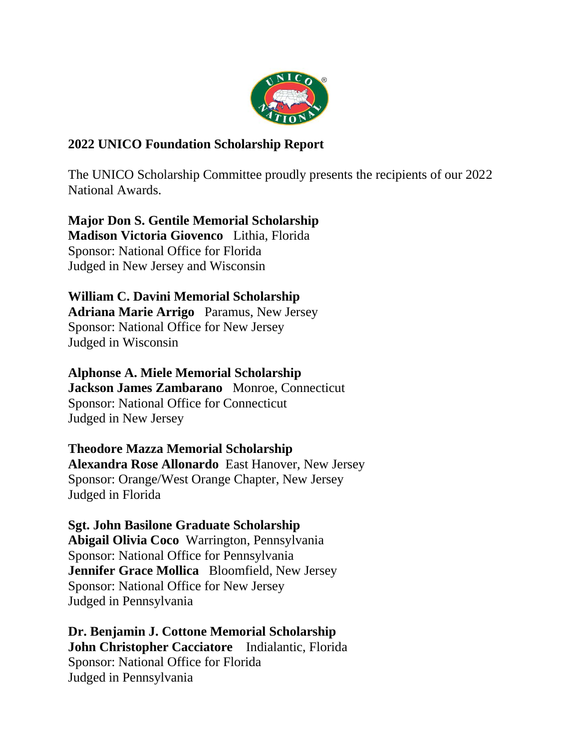

# **2022 UNICO Foundation Scholarship Report**

The UNICO Scholarship Committee proudly presents the recipients of our 2022 National Awards.

**Major Don S. Gentile Memorial Scholarship Madison Victoria Giovenco** Lithia, Florida Sponsor: National Office for Florida Judged in New Jersey and Wisconsin

**William C. Davini Memorial Scholarship Adriana Marie Arrigo** Paramus, New Jersey Sponsor: National Office for New Jersey Judged in Wisconsin

**Alphonse A. Miele Memorial Scholarship Jackson James Zambarano** Monroe, Connecticut Sponsor: National Office for Connecticut Judged in New Jersey

**Theodore Mazza Memorial Scholarship Alexandra Rose Allonardo** East Hanover, New Jersey Sponsor: Orange/West Orange Chapter, New Jersey Judged in Florida

**Sgt. John Basilone Graduate Scholarship Abigail Olivia Coco** Warrington, Pennsylvania Sponsor: National Office for Pennsylvania **Jennifer Grace Mollica** Bloomfield, New Jersey Sponsor: National Office for New Jersey Judged in Pennsylvania

**Dr. Benjamin J. Cottone Memorial Scholarship John Christopher Cacciatore** Indialantic, Florida Sponsor: National Office for Florida Judged in Pennsylvania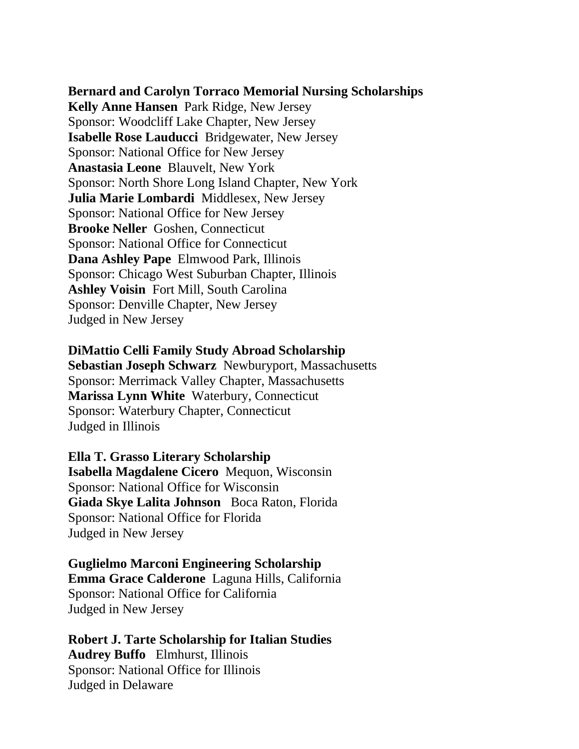**Bernard and Carolyn Torraco Memorial Nursing Scholarships Kelly Anne Hansen** Park Ridge, New Jersey Sponsor: Woodcliff Lake Chapter, New Jersey **Isabelle Rose Lauducci** Bridgewater, New Jersey Sponsor: National Office for New Jersey **Anastasia Leone** Blauvelt, New York Sponsor: North Shore Long Island Chapter, New York **Julia Marie Lombardi** Middlesex, New Jersey Sponsor: National Office for New Jersey **Brooke Neller** Goshen, Connecticut Sponsor: National Office for Connecticut **Dana Ashley Pape** Elmwood Park, Illinois Sponsor: Chicago West Suburban Chapter, Illinois **Ashley Voisin** Fort Mill, South Carolina Sponsor: Denville Chapter, New Jersey Judged in New Jersey

#### **DiMattio Celli Family Study Abroad Scholarship**

**Sebastian Joseph Schwarz** Newburyport, Massachusetts Sponsor: Merrimack Valley Chapter, Massachusetts **Marissa Lynn White** Waterbury, Connecticut Sponsor: Waterbury Chapter, Connecticut Judged in Illinois

**Ella T. Grasso Literary Scholarship Isabella Magdalene Cicero** Mequon, Wisconsin Sponsor: National Office for Wisconsin **Giada Skye Lalita Johnson** Boca Raton, Florida Sponsor: National Office for Florida Judged in New Jersey

**Guglielmo Marconi Engineering Scholarship Emma Grace Calderone** Laguna Hills, California Sponsor: National Office for California Judged in New Jersey

**Robert J. Tarte Scholarship for Italian Studies Audrey Buffo** Elmhurst, Illinois Sponsor: National Office for Illinois Judged in Delaware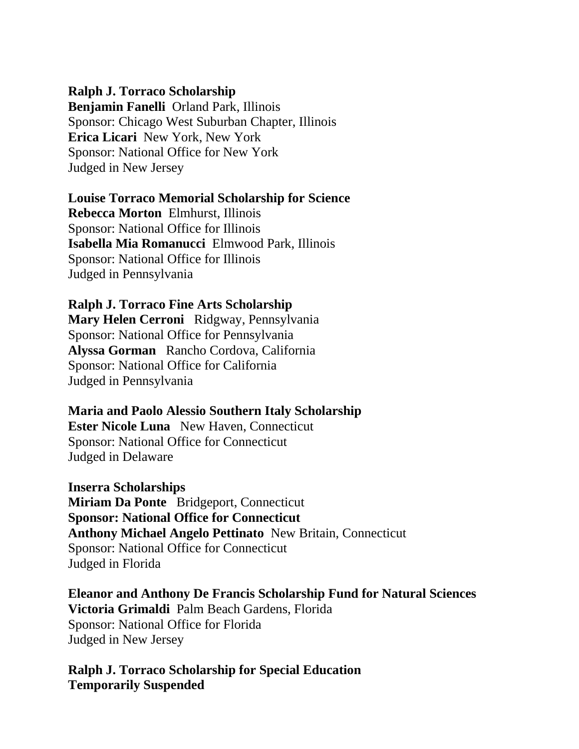## **Ralph J. Torraco Scholarship**

**Benjamin Fanelli** Orland Park, Illinois Sponsor: Chicago West Suburban Chapter, Illinois **Erica Licari** New York, New York Sponsor: National Office for New York Judged in New Jersey

## **Louise Torraco Memorial Scholarship for Science**

**Rebecca Morton** Elmhurst, Illinois Sponsor: National Office for Illinois **Isabella Mia Romanucci** Elmwood Park, Illinois Sponsor: National Office for Illinois Judged in Pennsylvania

#### **Ralph J. Torraco Fine Arts Scholarship**

**Mary Helen Cerroni** Ridgway, Pennsylvania Sponsor: National Office for Pennsylvania **Alyssa Gorman** Rancho Cordova, California Sponsor: National Office for California Judged in Pennsylvania

## **Maria and Paolo Alessio Southern Italy Scholarship**

**Ester Nicole Luna** New Haven, Connecticut Sponsor: National Office for Connecticut Judged in Delaware

#### **Inserra Scholarships**

**Miriam Da Ponte** Bridgeport, Connecticut **Sponsor: National Office for Connecticut Anthony Michael Angelo Pettinato** New Britain, Connecticut Sponsor: National Office for Connecticut Judged in Florida

**Eleanor and Anthony De Francis Scholarship Fund for Natural Sciences Victoria Grimaldi** Palm Beach Gardens, Florida Sponsor: National Office for Florida Judged in New Jersey

**Ralph J. Torraco Scholarship for Special Education Temporarily Suspended**